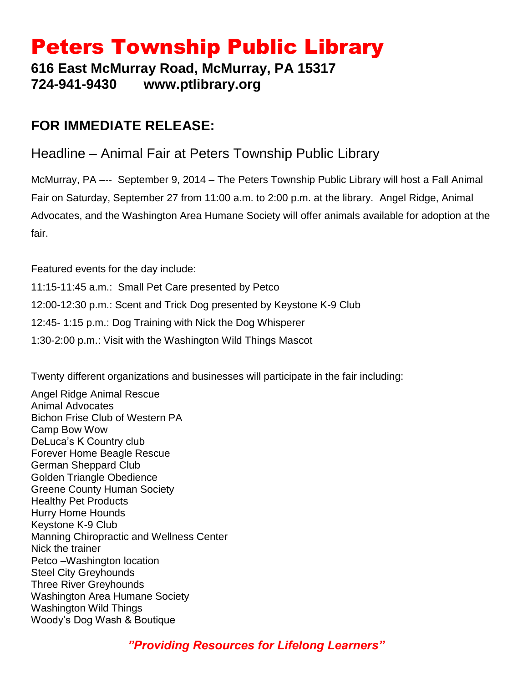# Peters Township Public Library

**616 East McMurray Road, McMurray, PA 15317 724-941-9430 www.ptlibrary.org**

## **FOR IMMEDIATE RELEASE:**

## Headline – Animal Fair at Peters Township Public Library

McMurray, PA –-- September 9, 2014 – The Peters Township Public Library will host a Fall Animal Fair on Saturday, September 27 from 11:00 a.m. to 2:00 p.m. at the library. Angel Ridge, Animal Advocates, and the Washington Area Humane Society will offer animals available for adoption at the fair.

Featured events for the day include: 11:15-11:45 a.m.: Small Pet Care presented by Petco 12:00-12:30 p.m.: Scent and Trick Dog presented by Keystone K-9 Club 12:45- 1:15 p.m.: Dog Training with Nick the Dog Whisperer 1:30-2:00 p.m.: Visit with the Washington Wild Things Mascot

Twenty different organizations and businesses will participate in the fair including:

Angel Ridge Animal Rescue Animal Advocates Bichon Frise Club of Western PA Camp Bow Wow DeLuca's K Country club Forever Home Beagle Rescue German Sheppard Club Golden Triangle Obedience Greene County Human Society Healthy Pet Products Hurry Home Hounds Keystone K-9 Club Manning Chiropractic and Wellness Center Nick the trainer Petco –Washington location Steel City Greyhounds Three River Greyhounds Washington Area Humane Society Washington Wild Things Woody's Dog Wash & Boutique

*"Providing Resources for Lifelong Learners"*